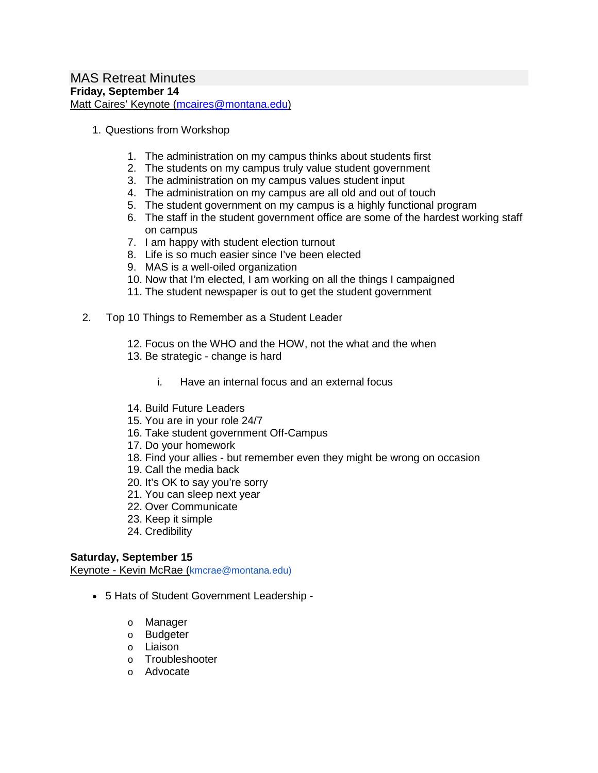- 1. Questions from Workshop
	- 1. The administration on my campus thinks about students first
	- 2. The students on my campus truly value student government
	- 3. The administration on my campus values student input
	- 4. The administration on my campus are all old and out of touch
	- 5. The student government on my campus is a highly functional program
	- 6. The staff in the student government office are some of the hardest working staff on campus
	- 7. I am happy with student election turnout
	- 8. Life is so much easier since I've been elected
	- 9. MAS is a well-oiled organization
	- 10. Now that I'm elected, I am working on all the things I campaigned
	- 11. The student newspaper is out to get the student government
- 2. Top 10 Things to Remember as a Student Leader
	- 12. Focus on the WHO and the HOW, not the what and the when
	- 13. Be strategic change is hard
		- i. Have an internal focus and an external focus
	- 14. Build Future Leaders
	- 15. You are in your role 24/7
	- 16. Take student government Off-Campus
	- 17. Do your homework
	- 18. Find your allies but remember even they might be wrong on occasion
	- 19. Call the media back
	- 20. It's OK to say you're sorry
	- 21. You can sleep next year
	- 22. Over Communicate
	- 23. Keep it simple
	- 24. Credibility

#### **Saturday, September 15**

Keynote - Kevin McRae (kmcrae@montana.edu)

- 5 Hats of Student Government Leadership
	- o Manager
	- o Budgeter
	- o Liaison
	- o Troubleshooter
	- o Advocate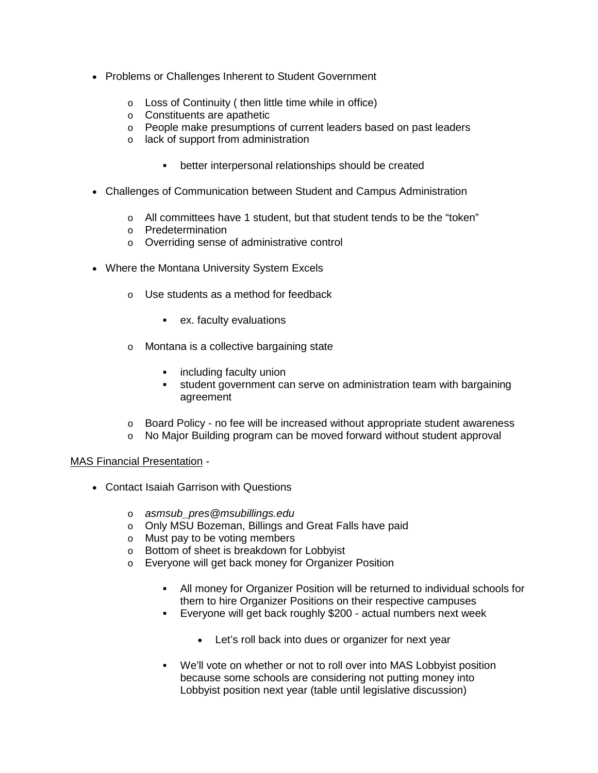- Problems or Challenges Inherent to Student Government
	- o Loss of Continuity ( then little time while in office)
	- o Constituents are apathetic
	- o People make presumptions of current leaders based on past leaders
	- o lack of support from administration
		- better interpersonal relationships should be created
- Challenges of Communication between Student and Campus Administration
	- o All committees have 1 student, but that student tends to be the "token"
	- o Predetermination
	- o Overriding sense of administrative control
- Where the Montana University System Excels
	- o Use students as a method for feedback
		- ex. faculty evaluations
	- o Montana is a collective bargaining state
		- **EXECUTE:** including faculty union
		- student government can serve on administration team with bargaining agreement
	- o Board Policy no fee will be increased without appropriate student awareness
	- o No Major Building program can be moved forward without student approval

#### MAS Financial Presentation -

- Contact Isaiah Garrison with Questions
	- o *asmsub\_pres@msubillings.edu*
	- o Only MSU Bozeman, Billings and Great Falls have paid
	- o Must pay to be voting members
	- o Bottom of sheet is breakdown for Lobbyist
	- o Everyone will get back money for Organizer Position
		- All money for Organizer Position will be returned to individual schools for them to hire Organizer Positions on their respective campuses
		- Everyone will get back roughly \$200 actual numbers next week
			- Let's roll back into dues or organizer for next year
		- We'll vote on whether or not to roll over into MAS Lobbyist position because some schools are considering not putting money into Lobbyist position next year (table until legislative discussion)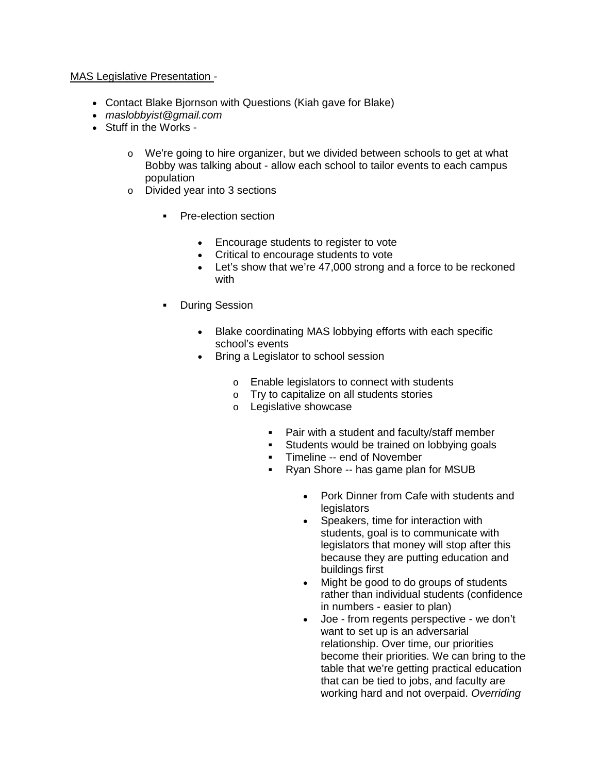## MAS Legislative Presentation -

- Contact Blake Bjornson with Questions (Kiah gave for Blake)
- *maslobbyist@gmail.com*
- Stuff in the Works
	- $\circ$  We're going to hire organizer, but we divided between schools to get at what Bobby was talking about - allow each school to tailor events to each campus population
	- o Divided year into 3 sections
		- **Pre-election section** 
			- Encourage students to register to vote
			- Critical to encourage students to vote
			- Let's show that we're 47,000 strong and a force to be reckoned with
		- **During Session** 
			- Blake coordinating MAS lobbying efforts with each specific school's events
			- Bring a Legislator to school session
				- o Enable legislators to connect with students
				- o Try to capitalize on all students stories
				- o Legislative showcase
					-
					- Pair with a student and faculty/staff member<br>Students would be trained on lobbying goals Students would be trained on lobbying goals
					- Timeline -- end of November
					- Ryan Shore -- has game plan for MSUB
						- Pork Dinner from Cafe with students and legislators
						- Speakers, time for interaction with students, goal is to communicate with legislators that money will stop after this because they are putting education and buildings first
						- Might be good to do groups of students rather than individual students (confidence in numbers - easier to plan)
						- Joe from regents perspective we don't want to set up is an adversarial relationship. Over time, our priorities become their priorities. We can bring to the table that we're getting practical education that can be tied to jobs, and faculty are working hard and not overpaid. *Overriding*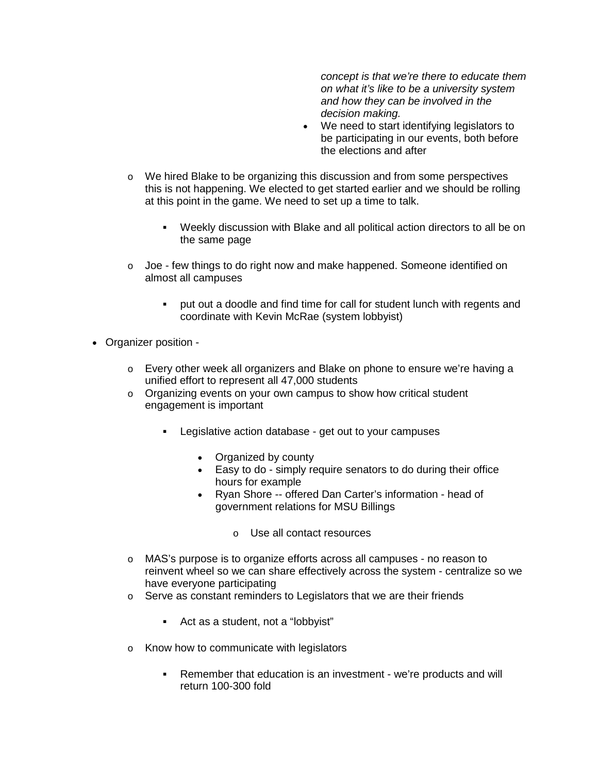*concept is that we're there to educate them on what it's like to be a university system and how they can be involved in the decision making.*

- We need to start identifying legislators to be participating in our events, both before the elections and after
- o We hired Blake to be organizing this discussion and from some perspectives this is not happening. We elected to get started earlier and we should be rolling at this point in the game. We need to set up a time to talk.
	- Weekly discussion with Blake and all political action directors to all be on the same page
- $\circ$  Joe few things to do right now and make happened. Someone identified on almost all campuses
	- put out a doodle and find time for call for student lunch with regents and coordinate with Kevin McRae (system lobbyist)
- Organizer position
	- o Every other week all organizers and Blake on phone to ensure we're having a unified effort to represent all 47,000 students
	- o Organizing events on your own campus to show how critical student engagement is important
		- **Legislative action database get out to your campuses** 
			- Organized by county
			- Easy to do simply require senators to do during their office hours for example
			- Ryan Shore -- offered Dan Carter's information head of government relations for MSU Billings
				- o Use all contact resources
	- o MAS's purpose is to organize efforts across all campuses no reason to reinvent wheel so we can share effectively across the system - centralize so we have everyone participating
	- o Serve as constant reminders to Legislators that we are their friends
		- Act as a student, not a "lobbyist"
	- o Know how to communicate with legislators
		- Remember that education is an investment we're products and will return 100-300 fold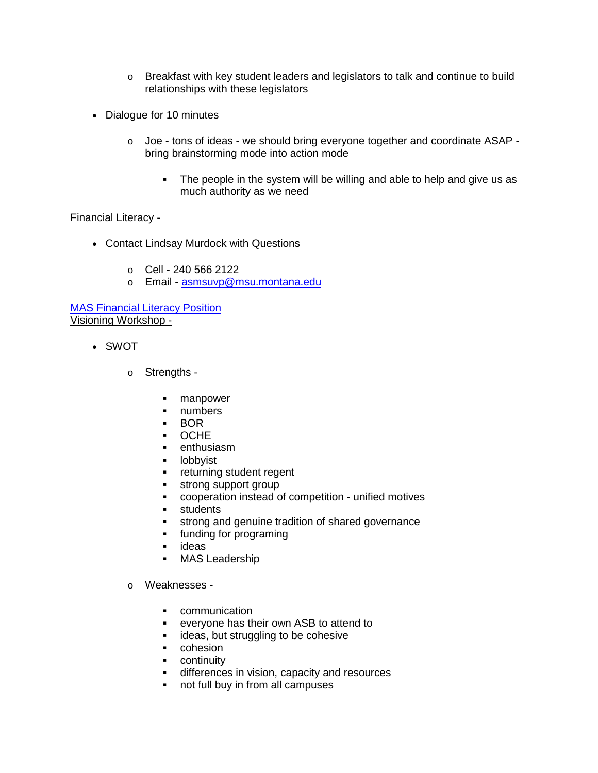- o Breakfast with key student leaders and legislators to talk and continue to build relationships with these legislators
- Dialogue for 10 minutes
	- $\circ$  Joe tons of ideas we should bring everyone together and coordinate ASAP bring brainstorming mode into action mode
		- The people in the system will be willing and able to help and give us as much authority as we need

## Financial Literacy -

- Contact Lindsay Murdock with Questions
	- $O$  Cell 240 566 2122
	- o Email [asmsuvp@msu.montana.edu](mailto:asmsuvp@msu.montana.edu)

[MAS Financial Literacy Position](https://docs.google.com/presentation/d/17YGbocmbXS7BrjhH-wMiYJ7B-1Wl3olFMHzdFPVjDvI/edit#slide=id.p) Visioning Workshop -

- SWOT
	- o Strengths
		- **manpower**
		- **numbers**
		- BOR
		- OCHE
		- **•** enthusiasm
		- **-** lobbyist
		- **Fig.** returning student regent
		- strong support group
		- cooperation instead of competition unified motives
		- **students**
		- **strong and genuine tradition of shared governance**
		- **funding for programing**
		- **u** ideas
		- MAS Leadership
	- o Weaknesses
		- **•** communication
		- everyone has their own ASB to attend to
		- **ideas, but struggling to be cohesive**
		- cohesion
		- **•** continuity
		- differences in vision, capacity and resources
		- not full buy in from all campuses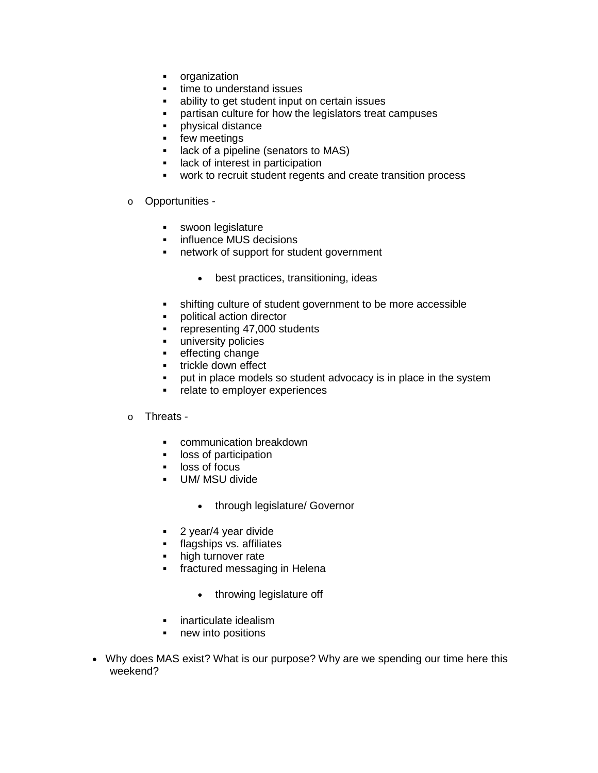- organization<br>• time to under
- time to understand issues
- ability to get student input on certain issues
- partisan culture for how the legislators treat campuses
- **•** physical distance
- **Figure 1** few meetings
- **If** lack of a pipeline (senators to MAS)
- **If** lack of interest in participation
- work to recruit student regents and create transition process
- o Opportunities
	- **swoon legislature**
	- **·** influence MUS decisions
	- network of support for student government
		- best practices, transitioning, ideas
	- shifting culture of student government to be more accessible
	- **•** political action director
	- **Fig. 5** representing 47,000 students
	- **university policies**
	- **Exercise Entiry change**
	- trickle down effect
	- put in place models so student advocacy is in place in the system
	- **•** relate to employer experiences

#### o Threats -

- **EXECOMMUNICATION breakdown**
- **IDOSS** of participation
- **-** loss of focus
- UM/ MSU divide
	- through legislature/ Governor
- 2 year/4 year divide
- **flagships vs. affiliates**
- high turnover rate
- **fractured messaging in Helena** 
	- throwing legislature off
- **EXEC** inarticulate idealism
- new into positions
- Why does MAS exist? What is our purpose? Why are we spending our time here this weekend?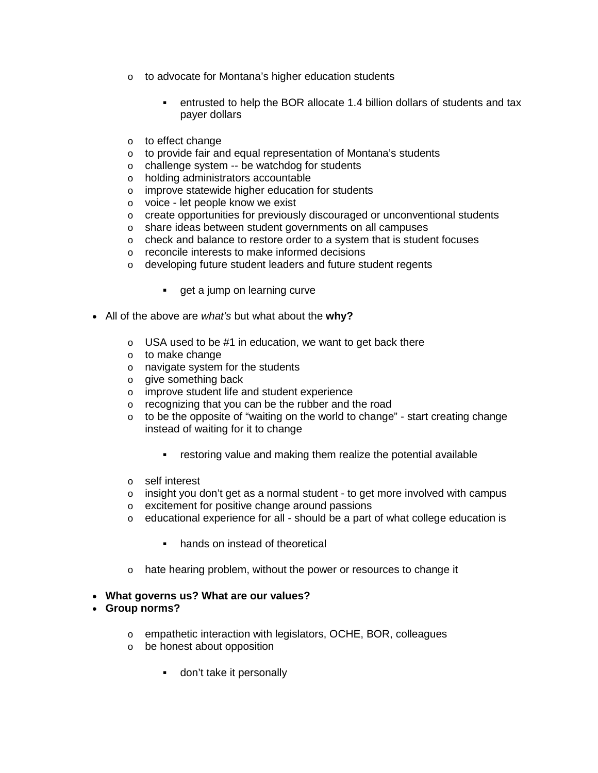- o to advocate for Montana's higher education students
	- entrusted to help the BOR allocate 1.4 billion dollars of students and tax payer dollars
- o to effect change
- o to provide fair and equal representation of Montana's students
- o challenge system -- be watchdog for students
- o holding administrators accountable
- o improve statewide higher education for students
- o voice let people know we exist
- $\circ$  create opportunities for previously discouraged or unconventional students
- o share ideas between student governments on all campuses
- $\circ$  check and balance to restore order to a system that is student focuses
- o reconcile interests to make informed decisions
- o developing future student leaders and future student regents
	- **get a jump on learning curve**
- All of the above are *what's* but what about the **why?**
	- $\circ$  USA used to be #1 in education, we want to get back there
	- o to make change
	- o navigate system for the students
	- o give something back
	- o improve student life and student experience
	- o recognizing that you can be the rubber and the road
	- $\circ$  to be the opposite of "waiting on the world to change" start creating change instead of waiting for it to change
		- restoring value and making them realize the potential available
	- o self interest
	- $\circ$  insight you don't get as a normal student to get more involved with campus
	- o excitement for positive change around passions
	- $\circ$  educational experience for all should be a part of what college education is
		- hands on instead of theoretical
	- o hate hearing problem, without the power or resources to change it

#### • **What governs us? What are our values?**

#### • **Group norms?**

- o empathetic interaction with legislators, OCHE, BOR, colleagues
- o be honest about opposition
	- **don't take it personally**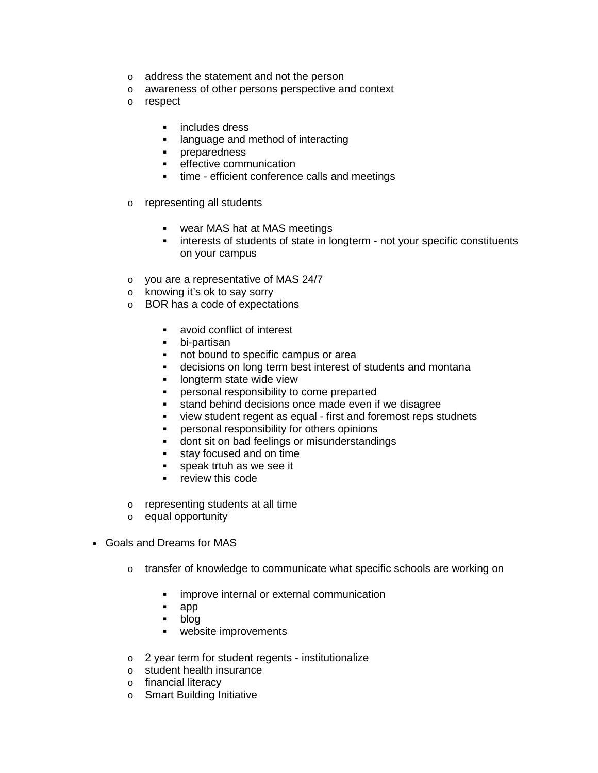- o address the statement and not the person
- o awareness of other persons perspective and context
- o respect
	- **includes dress**
	- **EXEC** language and method of interacting
	- **•** preparedness
	- **EXECTED** effective communication
	- time efficient conference calls and meetings
- o representing all students
	- wear MAS hat at MAS meetings<br>• interests of students of state in Ide
	- interests of students of state in longterm not your specific constituents on your campus
- o you are a representative of MAS 24/7
- o knowing it's ok to say sorry
- o BOR has a code of expectations
	- avoid conflict of interest
	- bi-partisan
	- not bound to specific campus or area
	- decisions on long term best interest of students and montana
	- longterm state wide view
	- personal responsibility to come preparted
	- stand behind decisions once made even if we disagree
	- view student regent as equal first and foremost reps studnets
	- **•** personal responsibility for others opinions
	- **dont sit on bad feelings or misunderstandings**
	- stay focused and on time
	- **speak trtuh as we see it**
	- **Fig.** review this code
- o representing students at all time
- o equal opportunity
- Goals and Dreams for MAS
	- $\circ$  transfer of knowledge to communicate what specific schools are working on
		- **EXED** improve internal or external communication
		- app
		- blog
		- **•** website improvements
	- o 2 year term for student regents institutionalize
	- o student health insurance
	- o financial literacy
	- o Smart Building Initiative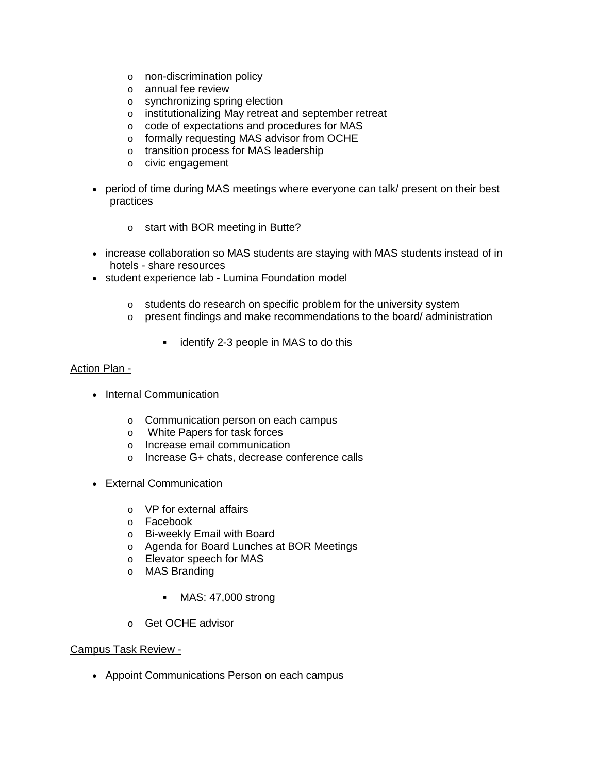- o non-discrimination policy
- o annual fee review
- o synchronizing spring election
- o institutionalizing May retreat and september retreat
- o code of expectations and procedures for MAS
- o formally requesting MAS advisor from OCHE
- o transition process for MAS leadership
- o civic engagement
- period of time during MAS meetings where everyone can talk/ present on their best practices
	- o start with BOR meeting in Butte?
- increase collaboration so MAS students are staying with MAS students instead of in hotels - share resources
- student experience lab Lumina Foundation model
	- o students do research on specific problem for the university system
	- o present findings and make recommendations to the board/ administration
		- **identify 2-3 people in MAS to do this**

## Action Plan -

- Internal Communication
	- o Communication person on each campus
	- o White Papers for task forces
	- o Increase email communication
	- o Increase G+ chats, decrease conference calls
- External Communication
	- o VP for external affairs
	- o Facebook
	- o Bi-weekly Email with Board
	- o Agenda for Board Lunches at BOR Meetings
	- o Elevator speech for MAS
	- o MAS Branding
		- MAS: 47,000 strong
	- o Get OCHE advisor

#### Campus Task Review -

• Appoint Communications Person on each campus